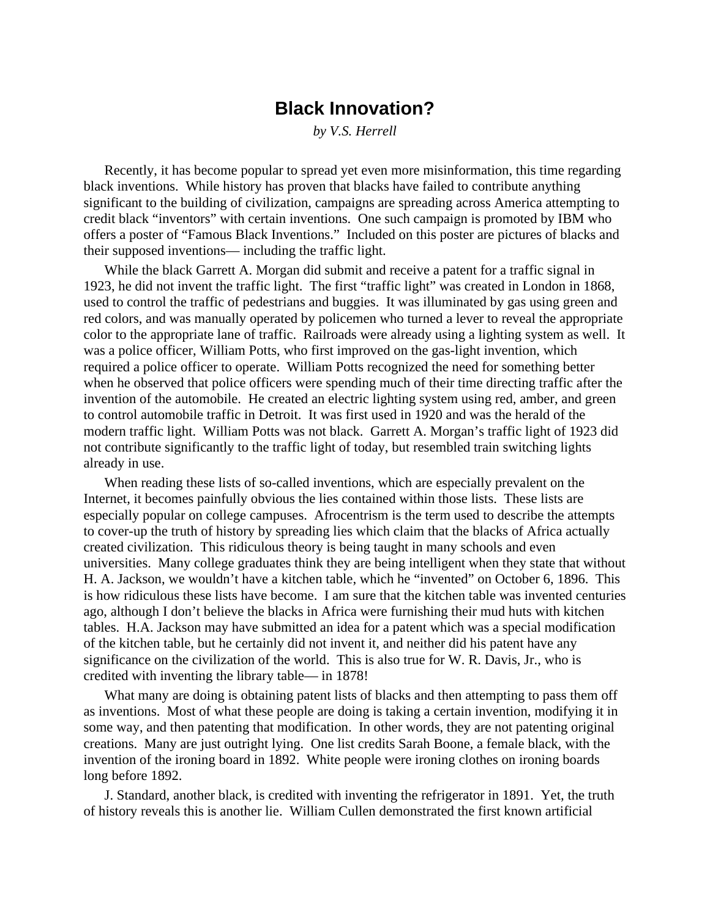## **Black Innovation?**

*by V.S. Herrell*

Recently, it has become popular to spread yet even more misinformation, this time regarding black inventions. While history has proven that blacks have failed to contribute anything significant to the building of civilization, campaigns are spreading across America attempting to credit black "inventors" with certain inventions. One such campaign is promoted by IBM who offers a poster of "Famous Black Inventions." Included on this poster are pictures of blacks and their supposed inventions— including the traffic light.

While the black Garrett A. Morgan did submit and receive a patent for a traffic signal in 1923, he did not invent the traffic light. The first "traffic light" was created in London in 1868, used to control the traffic of pedestrians and buggies. It was illuminated by gas using green and red colors, and was manually operated by policemen who turned a lever to reveal the appropriate color to the appropriate lane of traffic. Railroads were already using a lighting system as well. It was a police officer, William Potts, who first improved on the gas-light invention, which required a police officer to operate. William Potts recognized the need for something better when he observed that police officers were spending much of their time directing traffic after the invention of the automobile. He created an electric lighting system using red, amber, and green to control automobile traffic in Detroit. It was first used in 1920 and was the herald of the modern traffic light. William Potts was not black. Garrett A. Morgan's traffic light of 1923 did not contribute significantly to the traffic light of today, but resembled train switching lights already in use.

When reading these lists of so-called inventions, which are especially prevalent on the Internet, it becomes painfully obvious the lies contained within those lists. These lists are especially popular on college campuses. Afrocentrism is the term used to describe the attempts to cover-up the truth of history by spreading lies which claim that the blacks of Africa actually created civilization. This ridiculous theory is being taught in many schools and even universities. Many college graduates think they are being intelligent when they state that without H. A. Jackson, we wouldn't have a kitchen table, which he "invented" on October 6, 1896. This is how ridiculous these lists have become. I am sure that the kitchen table was invented centuries ago, although I don't believe the blacks in Africa were furnishing their mud huts with kitchen tables. H.A. Jackson may have submitted an idea for a patent which was a special modification of the kitchen table, but he certainly did not invent it, and neither did his patent have any significance on the civilization of the world. This is also true for W. R. Davis, Jr., who is credited with inventing the library table— in 1878!

What many are doing is obtaining patent lists of blacks and then attempting to pass them off as inventions. Most of what these people are doing is taking a certain invention, modifying it in some way, and then patenting that modification. In other words, they are not patenting original creations. Many are just outright lying. One list credits Sarah Boone, a female black, with the invention of the ironing board in 1892. White people were ironing clothes on ironing boards long before 1892.

J. Standard, another black, is credited with inventing the refrigerator in 1891. Yet, the truth of history reveals this is another lie. William Cullen demonstrated the first known artificial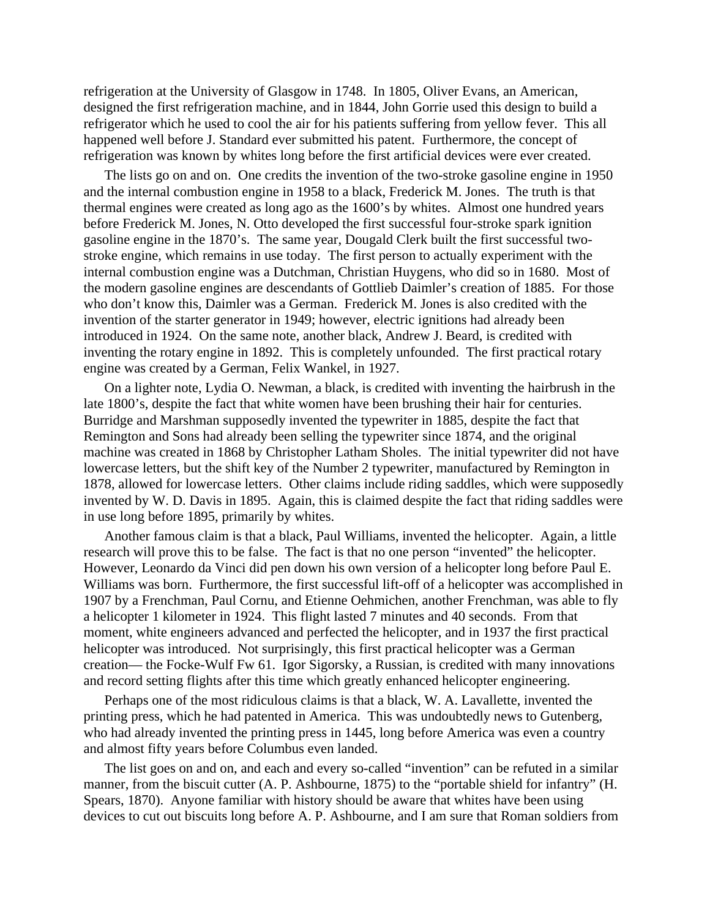refrigeration at the University of Glasgow in 1748. In 1805, Oliver Evans, an American, designed the first refrigeration machine, and in 1844, John Gorrie used this design to build a refrigerator which he used to cool the air for his patients suffering from yellow fever. This all happened well before J. Standard ever submitted his patent. Furthermore, the concept of refrigeration was known by whites long before the first artificial devices were ever created.

The lists go on and on. One credits the invention of the two-stroke gasoline engine in 1950 and the internal combustion engine in 1958 to a black, Frederick M. Jones. The truth is that thermal engines were created as long ago as the 1600's by whites. Almost one hundred years before Frederick M. Jones, N. Otto developed the first successful four-stroke spark ignition gasoline engine in the 1870's. The same year, Dougald Clerk built the first successful twostroke engine, which remains in use today. The first person to actually experiment with the internal combustion engine was a Dutchman, Christian Huygens, who did so in 1680. Most of the modern gasoline engines are descendants of Gottlieb Daimler's creation of 1885. For those who don't know this, Daimler was a German. Frederick M. Jones is also credited with the invention of the starter generator in 1949; however, electric ignitions had already been introduced in 1924. On the same note, another black, Andrew J. Beard, is credited with inventing the rotary engine in 1892. This is completely unfounded. The first practical rotary engine was created by a German, Felix Wankel, in 1927.

On a lighter note, Lydia O. Newman, a black, is credited with inventing the hairbrush in the late 1800's, despite the fact that white women have been brushing their hair for centuries. Burridge and Marshman supposedly invented the typewriter in 1885, despite the fact that Remington and Sons had already been selling the typewriter since 1874, and the original machine was created in 1868 by Christopher Latham Sholes. The initial typewriter did not have lowercase letters, but the shift key of the Number 2 typewriter, manufactured by Remington in 1878, allowed for lowercase letters. Other claims include riding saddles, which were supposedly invented by W. D. Davis in 1895. Again, this is claimed despite the fact that riding saddles were in use long before 1895, primarily by whites.

Another famous claim is that a black, Paul Williams, invented the helicopter. Again, a little research will prove this to be false. The fact is that no one person "invented" the helicopter. However, Leonardo da Vinci did pen down his own version of a helicopter long before Paul E. Williams was born. Furthermore, the first successful lift-off of a helicopter was accomplished in 1907 by a Frenchman, Paul Cornu, and Etienne Oehmichen, another Frenchman, was able to fly a helicopter 1 kilometer in 1924. This flight lasted 7 minutes and 40 seconds. From that moment, white engineers advanced and perfected the helicopter, and in 1937 the first practical helicopter was introduced. Not surprisingly, this first practical helicopter was a German creation— the Focke-Wulf Fw 61. Igor Sigorsky, a Russian, is credited with many innovations and record setting flights after this time which greatly enhanced helicopter engineering.

Perhaps one of the most ridiculous claims is that a black, W. A. Lavallette, invented the printing press, which he had patented in America. This was undoubtedly news to Gutenberg, who had already invented the printing press in 1445, long before America was even a country and almost fifty years before Columbus even landed.

The list goes on and on, and each and every so-called "invention" can be refuted in a similar manner, from the biscuit cutter (A. P. Ashbourne, 1875) to the "portable shield for infantry" (H. Spears, 1870). Anyone familiar with history should be aware that whites have been using devices to cut out biscuits long before A. P. Ashbourne, and I am sure that Roman soldiers from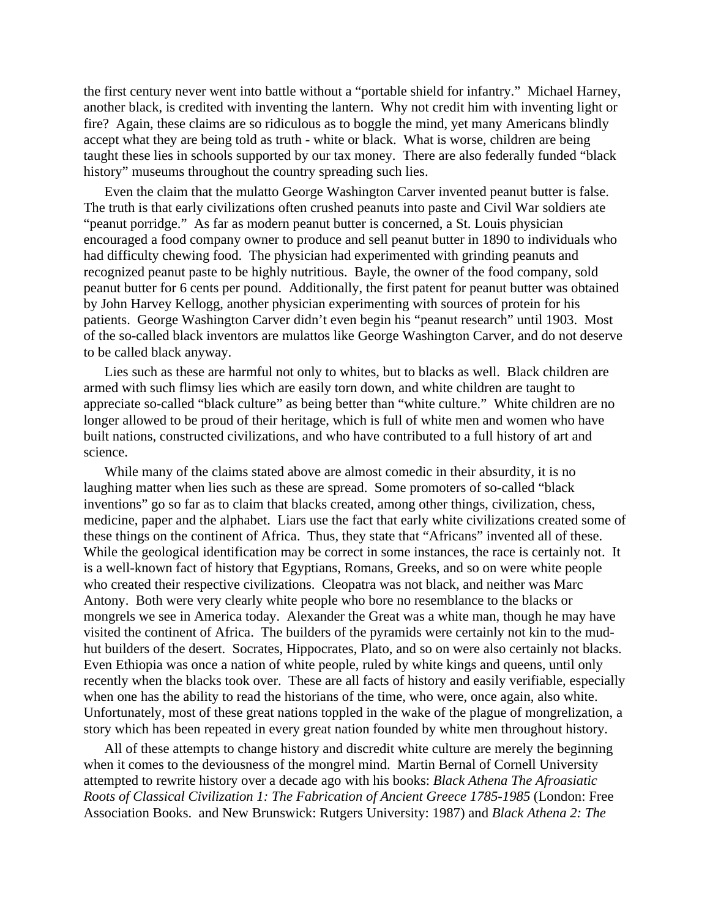the first century never went into battle without a "portable shield for infantry." Michael Harney, another black, is credited with inventing the lantern. Why not credit him with inventing light or fire? Again, these claims are so ridiculous as to boggle the mind, yet many Americans blindly accept what they are being told as truth - white or black. What is worse, children are being taught these lies in schools supported by our tax money. There are also federally funded "black history" museums throughout the country spreading such lies.

Even the claim that the mulatto George Washington Carver invented peanut butter is false. The truth is that early civilizations often crushed peanuts into paste and Civil War soldiers ate "peanut porridge." As far as modern peanut butter is concerned, a St. Louis physician encouraged a food company owner to produce and sell peanut butter in 1890 to individuals who had difficulty chewing food. The physician had experimented with grinding peanuts and recognized peanut paste to be highly nutritious. Bayle, the owner of the food company, sold peanut butter for 6 cents per pound. Additionally, the first patent for peanut butter was obtained by John Harvey Kellogg, another physician experimenting with sources of protein for his patients. George Washington Carver didn't even begin his "peanut research" until 1903. Most of the so-called black inventors are mulattos like George Washington Carver, and do not deserve to be called black anyway.

Lies such as these are harmful not only to whites, but to blacks as well. Black children are armed with such flimsy lies which are easily torn down, and white children are taught to appreciate so-called "black culture" as being better than "white culture." White children are no longer allowed to be proud of their heritage, which is full of white men and women who have built nations, constructed civilizations, and who have contributed to a full history of art and science.

While many of the claims stated above are almost comedic in their absurdity, it is no laughing matter when lies such as these are spread. Some promoters of so-called "black inventions" go so far as to claim that blacks created, among other things, civilization, chess, medicine, paper and the alphabet. Liars use the fact that early white civilizations created some of these things on the continent of Africa. Thus, they state that "Africans" invented all of these. While the geological identification may be correct in some instances, the race is certainly not. It is a well-known fact of history that Egyptians, Romans, Greeks, and so on were white people who created their respective civilizations. Cleopatra was not black, and neither was Marc Antony. Both were very clearly white people who bore no resemblance to the blacks or mongrels we see in America today. Alexander the Great was a white man, though he may have visited the continent of Africa. The builders of the pyramids were certainly not kin to the mudhut builders of the desert. Socrates, Hippocrates, Plato, and so on were also certainly not blacks. Even Ethiopia was once a nation of white people, ruled by white kings and queens, until only recently when the blacks took over. These are all facts of history and easily verifiable, especially when one has the ability to read the historians of the time, who were, once again, also white. Unfortunately, most of these great nations toppled in the wake of the plague of mongrelization, a story which has been repeated in every great nation founded by white men throughout history.

All of these attempts to change history and discredit white culture are merely the beginning when it comes to the deviousness of the mongrel mind. Martin Bernal of Cornell University attempted to rewrite history over a decade ago with his books: *Black Athena The Afroasiatic Roots of Classical Civilization 1: The Fabrication of Ancient Greece 1785-1985* (London: Free Association Books. and New Brunswick: Rutgers University: 1987) and *Black Athena 2: The*